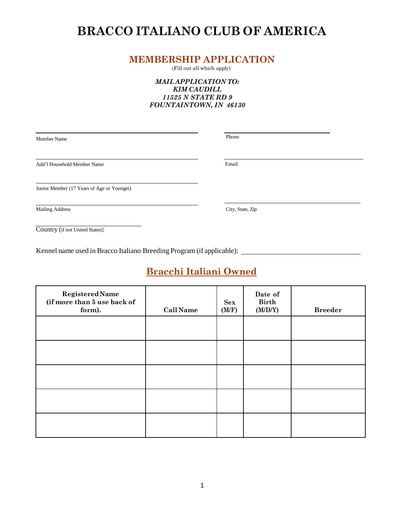# **BRACCO ITALIANO CLUB OF AMERICA**

### **MEMBERSHIP APPLICATION**

(Fill out all which apply)

#### *MAIL APPLICATION TO: KIM CAUDILL 11525 N STATE RD 9 FOUNTAINTOWN, IN 46130*

Member Name Phone

Add'l Household Member Name Email

Junior Member (17 Years of Age or Younger)

Mailing Address City, State, Zip

Country (if not United States):

Kennel name used in Bracco Italiano Breeding Program (if applicable):

## **Bracchi Italiani Owned**

| <b>Registered Name</b><br>(if more than 5 use back of<br>form). | <b>Call Name</b> | <b>Sex</b><br>(M/F) | Date of<br><b>Birth</b><br>(M/D/Y) | <b>Breeder</b> |
|-----------------------------------------------------------------|------------------|---------------------|------------------------------------|----------------|
|                                                                 |                  |                     |                                    |                |
|                                                                 |                  |                     |                                    |                |
|                                                                 |                  |                     |                                    |                |
|                                                                 |                  |                     |                                    |                |
|                                                                 |                  |                     |                                    |                |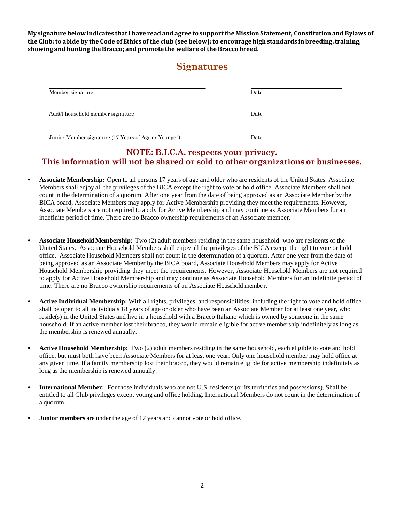**My signature below indicates that I have read and agree to support the Mission Statement, Constitution and Bylaws of the Club; to abide by the Code of Ethics of the club (see below); to encourage high standards in breeding,training, showing and hunting the Bracco; and promote the welfare of the Bracco breed.**

### **Signatures**

| Member signature                                     | Date          |  |
|------------------------------------------------------|---------------|--|
| Addt'l household member signature                    | Date          |  |
| Junior Member signature (17 Years of Age or Younger) | $_{\rm Date}$ |  |

### **NOTE: B.I.C.A. respects your privacy. This information will not be shared or sold to other organizations or businesses.**

- **Associate Membership:** Open to all persons 17 years of age and older who are residents of the United States. Associate Members shall enjoy all the privileges of the BICA except the right to vote or hold office. Associate Members shall not count in the determination of a quorum. After one year from the date of being approved as an Associate Member by the BICA board, Associate Members may apply for Active Membership providing they meet the requirements. However, Associate Members are not required to apply for Active Membership and may continue as Associate Members for an indefinite period of time. There are no Bracco ownership requirements of an Associate member.
- **Associate Household Membership:** Two (2) adult members residing in the same household who are residents of the United States. Associate Household Members shall enjoy all the privileges of the BICA except the right to vote or hold office. Associate Household Members shall not count in the determination of a quorum. After one year from the date of being approved as an Associate Member by the BICA board, Associate Household Members may apply for Active Household Membership providing they meet the requirements. However, Associate Household Members are not required to apply for Active Household Membership and may continue as Associate Household Members for an indefinite period of time. There are no Bracco ownership requirements of an Associate Household membe r.
- **Active Individual Membership:** With all rights, privileges, and responsibilities, including the right to vote and hold office shall be open to all individuals 18 years of age or older who have been an Associate Member for at least one year, who reside(s) in the United States and live in a household with a Bracco Italiano which is owned by someone in the same household. If an active member lost their bracco, they would remain eligible for active membership indefinitely as long as the membership is renewed annually.
- **Active Household Membership:** Two (2) adult members residing in the same household, each eligible to vote and hold office, but must both have been Associate Members for at least one year. Only one household member may hold office at any given time. If a family membership lost their bracco, they would remain eligible for active membership indefinitely as long as the membership is renewed annually.
- **International Member:** For those individuals who are not U.S. residents (or its territories and possessions). Shall be entitled to all Club privileges except voting and office holding. International Members do not count in the determination of a quorum.
- **Junior members** are under the age of 17 years and cannot vote or hold office.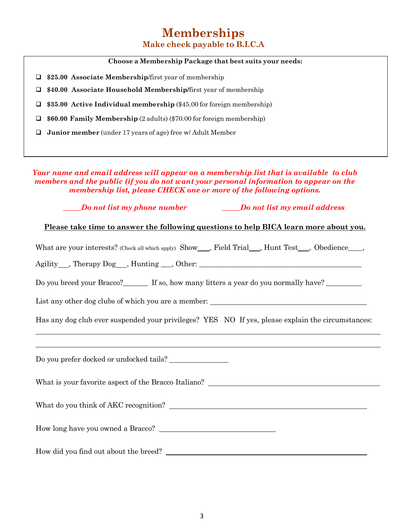## **Memberships Make check payable to B.I.C.A**

#### **Choose a Membership Package that best suits your needs:**

**\$25.00 Associate Membership**/first year of membership

**\$40.00 Associate Household Membership/**first year of membership

**\$35.00 Active Individual membership** (\$45.00 for foreign membership)

**\$60.00 Family Membership** (2 adults) (\$70.00 for foreign membership)

**Junior member** (under 17 years of age) free w/ Adult Member

*Your name and email address will appear on a membership list that is available to club members and the public (if you do not want your personal information to appear on the membership list, please CHECK one or more of the following options.*

*\_\_\_\_\_Do not list my phone number \_\_\_\_\_Do not list my email address*

**Please take time to answer the following questions to help BICA learn more about you.**

What are your interests? (Check all which apply) Show , Field Trial , Hunt Test , Obedience ,

Agility , Therapy Dog , Hunting \_\_\_, Other: \_\_\_\_\_\_\_\_\_\_\_\_\_\_\_\_\_\_\_\_\_\_\_\_\_\_\_\_\_\_\_\_\_\_\_\_\_\_\_\_\_\_\_\_

Do you breed your Bracco?\_\_\_\_\_\_\_\_ If so, how many litters a year do you normally have? \_\_\_\_\_\_\_\_\_\_\_\_

List any other dog clubs of which you are a member:

Has any dog club ever suspended your privileges? YES NO If yes, please explain the circumstances:

Do you prefer docked or undocked tails?

What is your favorite aspect of the Bracco Italiano?

What do you think of AKC recognition?

How long have you owned a Bracco?

How did you find out about the breed?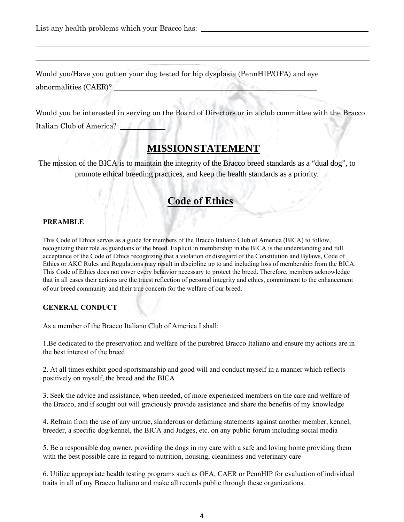List any health problems which your Bracco has:

Would you/Have you gotten your dog tested for hip dysplasia (PennHIP/OFA) and eye abnormalities (CAER)? and the state of the state of the

Would you be interested in serving on the Board of Directors or in a club committee with the Bracco Italian Club of America?

### **MISSION STATEMENT**

The mission of the BICA is to maintain the integrity of the Bracco breed standards as a "dual dog", to promote ethical breeding practices, and keep the health standards as a priority.

## **Code of Ethics**

#### **PREAMBLE**

This Code of Ethics serves as a guide for members of the Bracco Italiano Club of America (BICA) to follow, recognizing their role as guardians of the breed. Explicit in membership in the BICA is the understanding and full acceptance of the Code of Ethics recognizing that a violation or disregard of the Constitution and Bylaws, Code of Ethics or AKC Rules and Regulations may result in discipline up to and including loss of membership from the BICA. This Code of Ethics does not cover every behavior necessary to protect the breed. Therefore, members acknowledge that in all cases their actions are the truest reflection of personal integrity and ethics, commitment to the enhancement of our breed community and their true concern for the welfare of our breed.

#### **GENERAL CONDUCT**

As a member of the Bracco Italiano Club of America I shall:

1.Be dedicated to the preservation and welfare of the purebred Bracco Italiano and ensure my actions are in the best interest of the breed

2. At all times exhibit good sportsmanship and good will and conduct myself in a manner which reflects positively on myself, the breed and the BICA

3. Seek the advice and assistance, when needed, of more experienced members on the care and welfare of the Bracco, and if sought out will graciously provide assistance and share the benefits of my knowledge

4. Refrain from the use of any untrue, slanderous or defaming statements against another member, kennel, breeder, a specific dog/kennel, the BICA and Judges, etc. on any public forum including social media

5. Be a responsible dog owner, providing the dogs in my care with a safe and loving home providing them with the best possible care in regard to nutrition, housing, cleanliness and veterinary care

6. Utilize appropriate health testing programs such as OFA, CAER or PennHIP for evaluation of individual traits in all of my Bracco Italiano and make all records public through these organizations.